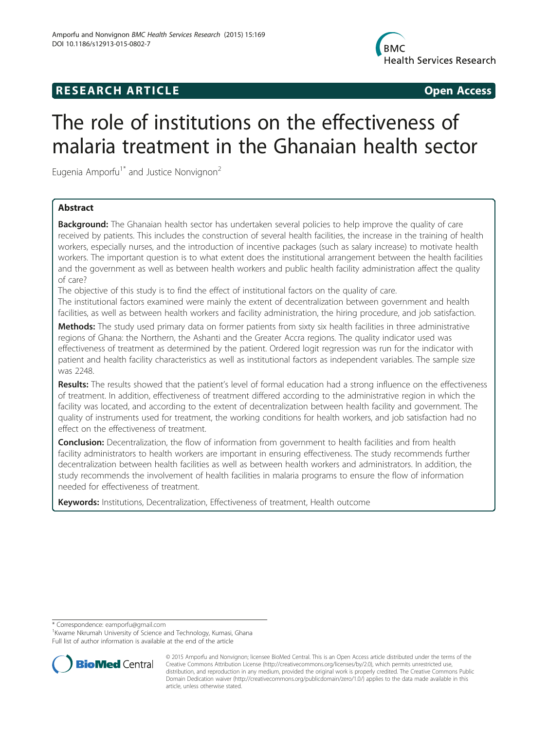

# R E S EAR CH A R TIC L E Open Access

# The role of institutions on the effectiveness of malaria treatment in the Ghanaian health sector

Eugenia Amporfu<sup>1\*</sup> and Justice Nonvignon<sup>2</sup>

# Abstract

**Background:** The Ghanaian health sector has undertaken several policies to help improve the quality of care received by patients. This includes the construction of several health facilities, the increase in the training of health workers, especially nurses, and the introduction of incentive packages (such as salary increase) to motivate health workers. The important question is to what extent does the institutional arrangement between the health facilities and the government as well as between health workers and public health facility administration affect the quality of care?

The objective of this study is to find the effect of institutional factors on the quality of care. The institutional factors examined were mainly the extent of decentralization between government and health facilities, as well as between health workers and facility administration, the hiring procedure, and job satisfaction.

Methods: The study used primary data on former patients from sixty six health facilities in three administrative regions of Ghana: the Northern, the Ashanti and the Greater Accra regions. The quality indicator used was effectiveness of treatment as determined by the patient. Ordered logit regression was run for the indicator with patient and health facility characteristics as well as institutional factors as independent variables. The sample size was 2248.

Results: The results showed that the patient's level of formal education had a strong influence on the effectiveness of treatment. In addition, effectiveness of treatment differed according to the administrative region in which the facility was located, and according to the extent of decentralization between health facility and government. The quality of instruments used for treatment, the working conditions for health workers, and job satisfaction had no effect on the effectiveness of treatment.

**Conclusion:** Decentralization, the flow of information from government to health facilities and from health facility administrators to health workers are important in ensuring effectiveness. The study recommends further decentralization between health facilities as well as between health workers and administrators. In addition, the study recommends the involvement of health facilities in malaria programs to ensure the flow of information needed for effectiveness of treatment.

Keywords: Institutions, Decentralization, Effectiveness of treatment, Health outcome

\* Correspondence: [eamporfu@gmail.com](mailto:eamporfu@gmail.com) <sup>1</sup>

<sup>1</sup> Kwame Nkrumah University of Science and Technology, Kumasi, Ghana Full list of author information is available at the end of the article



<sup>© 2015</sup> Amporfu and Nonvignon; licensee BioMed Central. This is an Open Access article distributed under the terms of the Creative Commons Attribution License (<http://creativecommons.org/licenses/by/2.0>), which permits unrestricted use, distribution, and reproduction in any medium, provided the original work is properly credited. The Creative Commons Public Domain Dedication waiver [\(http://creativecommons.org/publicdomain/zero/1.0/\)](http://creativecommons.org/publicdomain/zero/1.0/) applies to the data made available in this article, unless otherwise stated.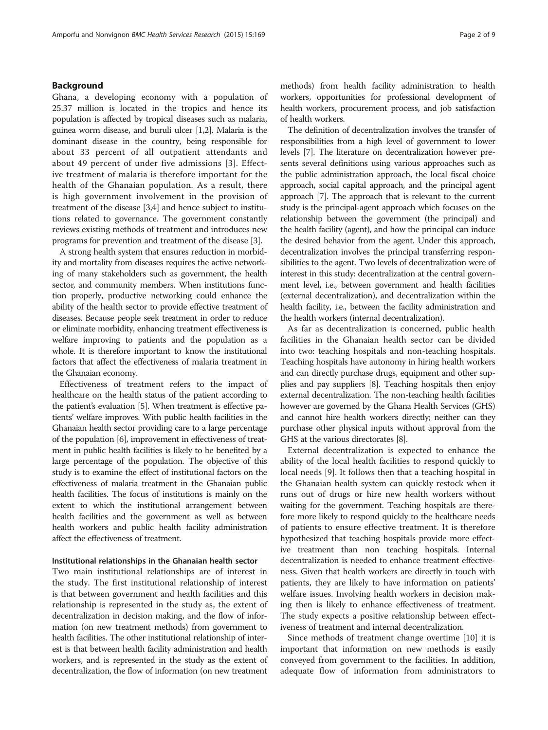# Background

Ghana, a developing economy with a population of 25.37 million is located in the tropics and hence its population is affected by tropical diseases such as malaria, guinea worm disease, and buruli ulcer [[1,2](#page-8-0)]. Malaria is the dominant disease in the country, being responsible for about 33 percent of all outpatient attendants and about 49 percent of under five admissions [[3](#page-8-0)]. Effective treatment of malaria is therefore important for the health of the Ghanaian population. As a result, there is high government involvement in the provision of treatment of the disease [[3,4](#page-8-0)] and hence subject to institutions related to governance. The government constantly reviews existing methods of treatment and introduces new programs for prevention and treatment of the disease [\[3](#page-8-0)].

A strong health system that ensures reduction in morbidity and mortality from diseases requires the active networking of many stakeholders such as government, the health sector, and community members. When institutions function properly, productive networking could enhance the ability of the health sector to provide effective treatment of diseases. Because people seek treatment in order to reduce or eliminate morbidity, enhancing treatment effectiveness is welfare improving to patients and the population as a whole. It is therefore important to know the institutional factors that affect the effectiveness of malaria treatment in the Ghanaian economy.

Effectiveness of treatment refers to the impact of healthcare on the health status of the patient according to the patient's evaluation [[5](#page-8-0)]. When treatment is effective patients' welfare improves. With public health facilities in the Ghanaian health sector providing care to a large percentage of the population [[6\]](#page-8-0), improvement in effectiveness of treatment in public health facilities is likely to be benefited by a large percentage of the population. The objective of this study is to examine the effect of institutional factors on the effectiveness of malaria treatment in the Ghanaian public health facilities. The focus of institutions is mainly on the extent to which the institutional arrangement between health facilities and the government as well as between health workers and public health facility administration affect the effectiveness of treatment.

#### Institutional relationships in the Ghanaian health sector

Two main institutional relationships are of interest in the study. The first institutional relationship of interest is that between government and health facilities and this relationship is represented in the study as, the extent of decentralization in decision making, and the flow of information (on new treatment methods) from government to health facilities. The other institutional relationship of interest is that between health facility administration and health workers, and is represented in the study as the extent of decentralization, the flow of information (on new treatment methods) from health facility administration to health workers, opportunities for professional development of health workers, procurement process, and job satisfaction of health workers.

The definition of decentralization involves the transfer of responsibilities from a high level of government to lower levels [[7](#page-8-0)]. The literature on decentralization however presents several definitions using various approaches such as the public administration approach, the local fiscal choice approach, social capital approach, and the principal agent approach [\[7](#page-8-0)]. The approach that is relevant to the current study is the principal-agent approach which focuses on the relationship between the government (the principal) and the health facility (agent), and how the principal can induce the desired behavior from the agent. Under this approach, decentralization involves the principal transferring responsibilities to the agent. Two levels of decentralization were of interest in this study: decentralization at the central government level, i.e., between government and health facilities (external decentralization), and decentralization within the health facility, i.e., between the facility administration and the health workers (internal decentralization).

As far as decentralization is concerned, public health facilities in the Ghanaian health sector can be divided into two: teaching hospitals and non-teaching hospitals. Teaching hospitals have autonomy in hiring health workers and can directly purchase drugs, equipment and other supplies and pay suppliers [\[8\]](#page-8-0). Teaching hospitals then enjoy external decentralization. The non-teaching health facilities however are governed by the Ghana Health Services (GHS) and cannot hire health workers directly; neither can they purchase other physical inputs without approval from the GHS at the various directorates [[8](#page-8-0)].

External decentralization is expected to enhance the ability of the local health facilities to respond quickly to local needs [\[9\]](#page-8-0). It follows then that a teaching hospital in the Ghanaian health system can quickly restock when it runs out of drugs or hire new health workers without waiting for the government. Teaching hospitals are therefore more likely to respond quickly to the healthcare needs of patients to ensure effective treatment. It is therefore hypothesized that teaching hospitals provide more effective treatment than non teaching hospitals. Internal decentralization is needed to enhance treatment effectiveness. Given that health workers are directly in touch with patients, they are likely to have information on patients' welfare issues. Involving health workers in decision making then is likely to enhance effectiveness of treatment. The study expects a positive relationship between effectiveness of treatment and internal decentralization.

Since methods of treatment change overtime [\[10](#page-8-0)] it is important that information on new methods is easily conveyed from government to the facilities. In addition, adequate flow of information from administrators to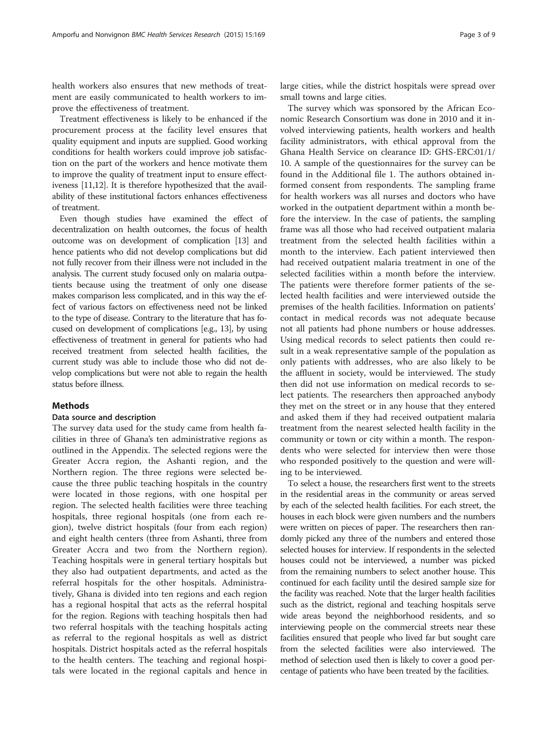health workers also ensures that new methods of treatment are easily communicated to health workers to improve the effectiveness of treatment.

Treatment effectiveness is likely to be enhanced if the procurement process at the facility level ensures that quality equipment and inputs are supplied. Good working conditions for health workers could improve job satisfaction on the part of the workers and hence motivate them to improve the quality of treatment input to ensure effectiveness [\[11,12](#page-8-0)]. It is therefore hypothesized that the availability of these institutional factors enhances effectiveness of treatment.

Even though studies have examined the effect of decentralization on health outcomes, the focus of health outcome was on development of complication [\[13\]](#page-8-0) and hence patients who did not develop complications but did not fully recover from their illness were not included in the analysis. The current study focused only on malaria outpatients because using the treatment of only one disease makes comparison less complicated, and in this way the effect of various factors on effectiveness need not be linked to the type of disease. Contrary to the literature that has focused on development of complications [e.g., 13], by using effectiveness of treatment in general for patients who had received treatment from selected health facilities, the current study was able to include those who did not develop complications but were not able to regain the health status before illness.

# Methods

#### Data source and description

The survey data used for the study came from health facilities in three of Ghana's ten administrative regions as outlined in the [Appendix](#page-8-0). The selected regions were the Greater Accra region, the Ashanti region, and the Northern region. The three regions were selected because the three public teaching hospitals in the country were located in those regions, with one hospital per region. The selected health facilities were three teaching hospitals, three regional hospitals (one from each region), twelve district hospitals (four from each region) and eight health centers (three from Ashanti, three from Greater Accra and two from the Northern region). Teaching hospitals were in general tertiary hospitals but they also had outpatient departments, and acted as the referral hospitals for the other hospitals. Administratively, Ghana is divided into ten regions and each region has a regional hospital that acts as the referral hospital for the region. Regions with teaching hospitals then had two referral hospitals with the teaching hospitals acting as referral to the regional hospitals as well as district hospitals. District hospitals acted as the referral hospitals to the health centers. The teaching and regional hospitals were located in the regional capitals and hence in large cities, while the district hospitals were spread over small towns and large cities.

The survey which was sponsored by the African Economic Research Consortium was done in 2010 and it involved interviewing patients, health workers and health facility administrators, with ethical approval from the Ghana Health Service on clearance ID: GHS-ERC:01/1/ 10. A sample of the questionnaires for the survey can be found in the Additional file [1](#page-8-0). The authors obtained informed consent from respondents. The sampling frame for health workers was all nurses and doctors who have worked in the outpatient department within a month before the interview. In the case of patients, the sampling frame was all those who had received outpatient malaria treatment from the selected health facilities within a month to the interview. Each patient interviewed then had received outpatient malaria treatment in one of the selected facilities within a month before the interview. The patients were therefore former patients of the selected health facilities and were interviewed outside the premises of the health facilities. Information on patients' contact in medical records was not adequate because not all patients had phone numbers or house addresses. Using medical records to select patients then could result in a weak representative sample of the population as only patients with addresses, who are also likely to be the affluent in society, would be interviewed. The study then did not use information on medical records to select patients. The researchers then approached anybody they met on the street or in any house that they entered and asked them if they had received outpatient malaria treatment from the nearest selected health facility in the community or town or city within a month. The respondents who were selected for interview then were those who responded positively to the question and were willing to be interviewed.

To select a house, the researchers first went to the streets in the residential areas in the community or areas served by each of the selected health facilities. For each street, the houses in each block were given numbers and the numbers were written on pieces of paper. The researchers then randomly picked any three of the numbers and entered those selected houses for interview. If respondents in the selected houses could not be interviewed, a number was picked from the remaining numbers to select another house. This continued for each facility until the desired sample size for the facility was reached. Note that the larger health facilities such as the district, regional and teaching hospitals serve wide areas beyond the neighborhood residents, and so interviewing people on the commercial streets near these facilities ensured that people who lived far but sought care from the selected facilities were also interviewed. The method of selection used then is likely to cover a good percentage of patients who have been treated by the facilities.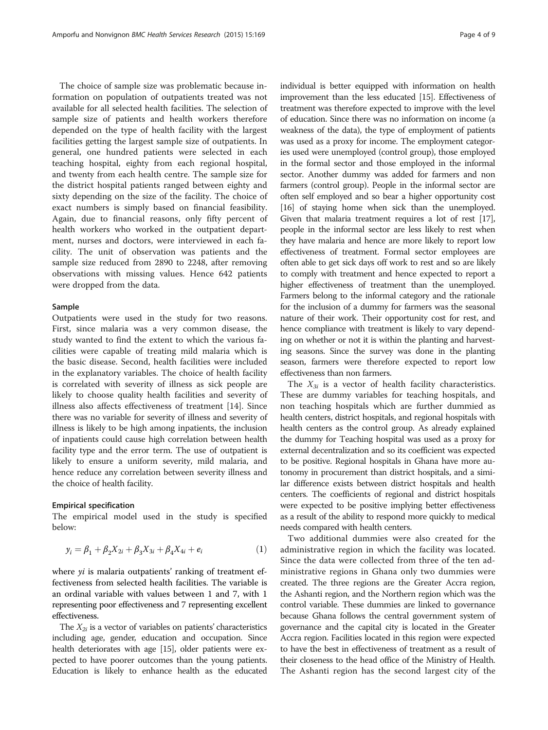The choice of sample size was problematic because information on population of outpatients treated was not available for all selected health facilities. The selection of sample size of patients and health workers therefore depended on the type of health facility with the largest facilities getting the largest sample size of outpatients. In general, one hundred patients were selected in each teaching hospital, eighty from each regional hospital, and twenty from each health centre. The sample size for the district hospital patients ranged between eighty and sixty depending on the size of the facility. The choice of exact numbers is simply based on financial feasibility. Again, due to financial reasons, only fifty percent of health workers who worked in the outpatient department, nurses and doctors, were interviewed in each facility. The unit of observation was patients and the sample size reduced from 2890 to 2248, after removing observations with missing values. Hence 642 patients were dropped from the data.

#### Sample

Outpatients were used in the study for two reasons. First, since malaria was a very common disease, the study wanted to find the extent to which the various facilities were capable of treating mild malaria which is the basic disease. Second, health facilities were included in the explanatory variables. The choice of health facility is correlated with severity of illness as sick people are likely to choose quality health facilities and severity of illness also affects effectiveness of treatment [[14](#page-8-0)]. Since there was no variable for severity of illness and severity of illness is likely to be high among inpatients, the inclusion of inpatients could cause high correlation between health facility type and the error term. The use of outpatient is likely to ensure a uniform severity, mild malaria, and hence reduce any correlation between severity illness and the choice of health facility.

#### Empirical specification

The empirical model used in the study is specified below:

$$
y_i = \beta_1 + \beta_2 X_{2i} + \beta_3 X_{3i} + \beta_4 X_{4i} + e_i \tag{1}
$$

where  $yi$  is malaria outpatients' ranking of treatment effectiveness from selected health facilities. The variable is an ordinal variable with values between 1 and 7, with 1 representing poor effectiveness and 7 representing excellent effectiveness.

The  $X_{2i}$  is a vector of variables on patients' characteristics including age, gender, education and occupation. Since health deteriorates with age [\[15](#page-8-0)], older patients were expected to have poorer outcomes than the young patients. Education is likely to enhance health as the educated

individual is better equipped with information on health improvement than the less educated [[15](#page-8-0)]. Effectiveness of treatment was therefore expected to improve with the level of education. Since there was no information on income (a weakness of the data), the type of employment of patients was used as a proxy for income. The employment categories used were unemployed (control group), those employed in the formal sector and those employed in the informal sector. Another dummy was added for farmers and non farmers (control group). People in the informal sector are often self employed and so bear a higher opportunity cost [[16](#page-8-0)] of staying home when sick than the unemployed. Given that malaria treatment requires a lot of rest [\[17](#page-8-0)], people in the informal sector are less likely to rest when they have malaria and hence are more likely to report low effectiveness of treatment. Formal sector employees are often able to get sick days off work to rest and so are likely to comply with treatment and hence expected to report a higher effectiveness of treatment than the unemployed. Farmers belong to the informal category and the rationale for the inclusion of a dummy for farmers was the seasonal nature of their work. Their opportunity cost for rest, and hence compliance with treatment is likely to vary depending on whether or not it is within the planting and harvesting seasons. Since the survey was done in the planting season, farmers were therefore expected to report low effectiveness than non farmers.

The  $X_{3i}$  is a vector of health facility characteristics. These are dummy variables for teaching hospitals, and non teaching hospitals which are further dummied as health centers, district hospitals, and regional hospitals with health centers as the control group. As already explained the dummy for Teaching hospital was used as a proxy for external decentralization and so its coefficient was expected to be positive. Regional hospitals in Ghana have more autonomy in procurement than district hospitals, and a similar difference exists between district hospitals and health centers. The coefficients of regional and district hospitals were expected to be positive implying better effectiveness as a result of the ability to respond more quickly to medical needs compared with health centers.

Two additional dummies were also created for the administrative region in which the facility was located. Since the data were collected from three of the ten administrative regions in Ghana only two dummies were created. The three regions are the Greater Accra region, the Ashanti region, and the Northern region which was the control variable. These dummies are linked to governance because Ghana follows the central government system of governance and the capital city is located in the Greater Accra region. Facilities located in this region were expected to have the best in effectiveness of treatment as a result of their closeness to the head office of the Ministry of Health. The Ashanti region has the second largest city of the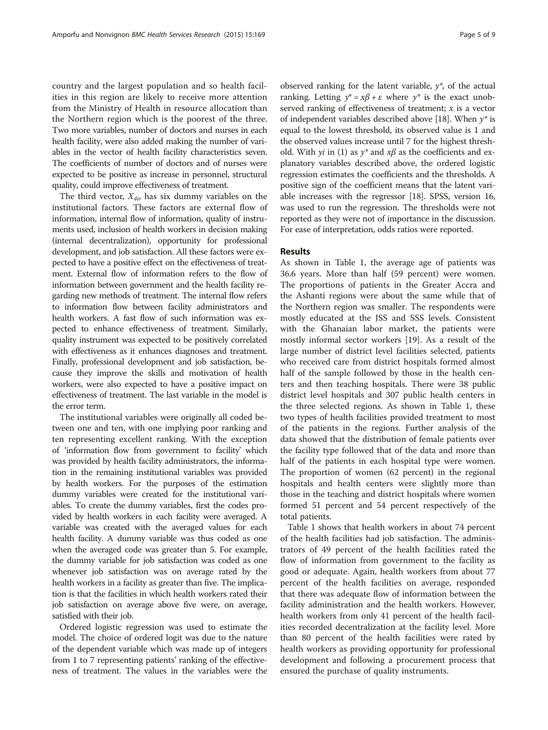country and the largest population and so health facilities in this region are likely to receive more attention from the Ministry of Health in resource allocation than the Northern region which is the poorest of the three. Two more variables, number of doctors and nurses in each health facility, were also added making the number of variables in the vector of health facility characteristics seven. The coefficients of number of doctors and of nurses were expected to be positive as increase in personnel, structural quality, could improve effectiveness of treatment.

The third vector,  $X_{4i}$ , has six dummy variables on the institutional factors. These factors are external flow of information, internal flow of information, quality of instruments used, inclusion of health workers in decision making (internal decentralization), opportunity for professional development, and job satisfaction. All these factors were expected to have a positive effect on the effectiveness of treatment. External flow of information refers to the flow of information between government and the health facility regarding new methods of treatment. The internal flow refers to information flow between facility administrators and health workers. A fast flow of such information was expected to enhance effectiveness of treatment. Similarly, quality instrument was expected to be positively correlated with effectiveness as it enhances diagnoses and treatment. Finally, professional development and job satisfaction, because they improve the skills and motivation of health workers, were also expected to have a positive impact on effectiveness of treatment. The last variable in the model is the error term.

The institutional variables were originally all coded between one and ten, with one implying poor ranking and ten representing excellent ranking. With the exception of 'information flow from government to facility' which was provided by health facility administrators, the information in the remaining institutional variables was provided by health workers. For the purposes of the estimation dummy variables were created for the institutional variables. To create the dummy variables, first the codes provided by health workers in each facility were averaged. A variable was created with the averaged values for each health facility. A dummy variable was thus coded as one when the averaged code was greater than 5. For example, the dummy variable for job satisfaction was coded as one whenever job satisfaction was on average rated by the health workers in a facility as greater than five. The implication is that the facilities in which health workers rated their job satisfaction on average above five were, on average, satisfied with their job.

Ordered logistic regression was used to estimate the model. The choice of ordered logit was due to the nature of the dependent variable which was made up of integers from 1 to 7 representing patients' ranking of the effectiveness of treatment. The values in the variables were the

observed ranking for the latent variable,  $y^*$ , of the actual ranking. Letting  $y^* = x\beta + \varepsilon$  where  $y^*$  is the exact unobserved ranking of effectiveness of treatment;  $x$  is a vector of independent variables described above [\[18\]](#page-8-0). When  $y^*$  is equal to the lowest threshold, its observed value is 1 and the observed values increase until 7 for the highest threshold. With  $yi$  in (1) as  $y^*$  and  $x\beta$  as the coefficients and explanatory variables described above, the ordered logistic regression estimates the coefficients and the thresholds. A positive sign of the coefficient means that the latent variable increases with the regressor [\[18\]](#page-8-0). SPSS, version 16, was used to run the regression. The thresholds were not reported as they were not of importance in the discussion. For ease of interpretation, odds ratios were reported.

### Results

As shown in Table [1,](#page-5-0) the average age of patients was 36.6 years. More than half (59 percent) were women. The proportions of patients in the Greater Accra and the Ashanti regions were about the same while that of the Northern region was smaller. The respondents were mostly educated at the JSS and SSS levels. Consistent with the Ghanaian labor market, the patients were mostly informal sector workers [[19](#page-8-0)]. As a result of the large number of district level facilities selected, patients who received care from district hospitals formed almost half of the sample followed by those in the health centers and then teaching hospitals. There were 38 public district level hospitals and 307 public health centers in the three selected regions. As shown in Table [1,](#page-5-0) these two types of health facilities provided treatment to most of the patients in the regions. Further analysis of the data showed that the distribution of female patients over the facility type followed that of the data and more than half of the patients in each hospital type were women. The proportion of women (62 percent) in the regional hospitals and health centers were slightly more than those in the teaching and district hospitals where women formed 51 percent and 54 percent respectively of the total patients.

Table [1](#page-5-0) shows that health workers in about 74 percent of the health facilities had job satisfaction. The administrators of 49 percent of the health facilities rated the flow of information from government to the facility as good or adequate. Again, health workers from about 77 percent of the health facilities on average, responded that there was adequate flow of information between the facility administration and the health workers. However, health workers from only 41 percent of the health facilities recorded decentralization at the facility level. More than 80 percent of the health facilities were rated by health workers as providing opportunity for professional development and following a procurement process that ensured the purchase of quality instruments.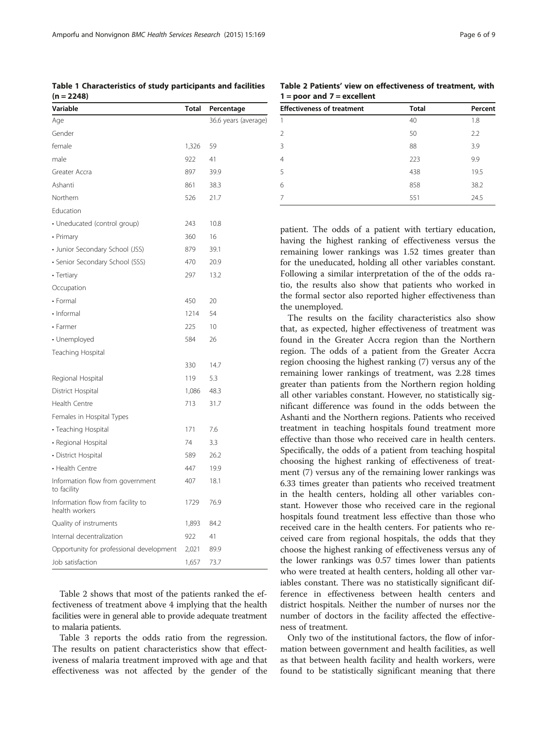Table 2 shows that most of the patients ranked the effectiveness of treatment above 4 implying that the health facilities were in general able to provide adequate treatment to malaria patients.

407 18.1

1729 76.9

Table [3](#page-6-0) reports the odds ratio from the regression. The results on patient characteristics show that effectiveness of malaria treatment improved with age and that effectiveness was not affected by the gender of the patient. The odds of a patient with tertiary education, having the highest ranking of effectiveness versus the remaining lower rankings was 1.52 times greater than for the uneducated, holding all other variables constant. Following a similar interpretation of the of the odds ratio, the results also show that patients who worked in the formal sector also reported higher effectiveness than the unemployed.

The results on the facility characteristics also show that, as expected, higher effectiveness of treatment was found in the Greater Accra region than the Northern region. The odds of a patient from the Greater Accra region choosing the highest ranking (7) versus any of the remaining lower rankings of treatment, was 2.28 times greater than patients from the Northern region holding all other variables constant. However, no statistically significant difference was found in the odds between the Ashanti and the Northern regions. Patients who received treatment in teaching hospitals found treatment more effective than those who received care in health centers. Specifically, the odds of a patient from teaching hospital choosing the highest ranking of effectiveness of treatment (7) versus any of the remaining lower rankings was 6.33 times greater than patients who received treatment in the health centers, holding all other variables constant. However those who received care in the regional hospitals found treatment less effective than those who received care in the health centers. For patients who received care from regional hospitals, the odds that they choose the highest ranking of effectiveness versus any of the lower rankings was 0.57 times lower than patients who were treated at health centers, holding all other variables constant. There was no statistically significant difference in effectiveness between health centers and district hospitals. Neither the number of nurses nor the number of doctors in the facility affected the effectiveness of treatment.

Only two of the institutional factors, the flow of information between government and health facilities, as well as that between health facility and health workers, were found to be statistically significant meaning that there

| Table 2 Patients' view on effectiveness of treatment, with |       |         |  |  |
|------------------------------------------------------------|-------|---------|--|--|
| $1 =$ poor and $7 =$ excellent                             |       |         |  |  |
| <b>Effectiveness of treatment</b>                          | Total | Percent |  |  |
|                                                            | 40    | 18      |  |  |
|                                                            |       | つつ      |  |  |

3 88 3.9 4 223 9.9 5 438 19.5 6 858 38.2 7 551 24.5

<span id="page-5-0"></span>Table 1 Characteristics of study participants and facilities (n = 2248)

| $(n = 2248)$                    |              |                      |  |  |
|---------------------------------|--------------|----------------------|--|--|
| Variable                        | <b>Total</b> | Percentage           |  |  |
| Age                             |              | 36.6 years (average) |  |  |
| Gender                          |              |                      |  |  |
| female                          | 1,326        | 59                   |  |  |
| male                            | 922          | 41                   |  |  |
| Greater Accra                   | 897          | 39.9                 |  |  |
| Ashanti                         | 861          | 38.3                 |  |  |
| Northern                        | 526          | 21.7                 |  |  |
| Education                       |              |                      |  |  |
| · Uneducated (control group)    | 243          | 10.8                 |  |  |
| • Primary                       | 360          | 16                   |  |  |
| • Junior Secondary School (JSS) | 879          | 39.1                 |  |  |
| · Senior Secondary School (SSS) | 470          | 20.9                 |  |  |
| • Tertiary                      | 297          | 13.2                 |  |  |
| Occupation                      |              |                      |  |  |
| · Formal                        | 450          | 20                   |  |  |
| • Informal                      | 1214         | 54                   |  |  |
| • Farmer                        | 225          | 10                   |  |  |
| • Unemployed                    | 584          | 26                   |  |  |
| Teaching Hospital               |              |                      |  |  |
|                                 | 330          | 147                  |  |  |

Regional Hospital 119 5.3 District Hospital 1,086 48.3 Health Centre 713 31.7

• Teaching Hospital 171 7.6 • Regional Hospital 74 3.3 • District Hospital 589 26.2 • Health Centre **447** 19.9

Quality of instruments 1,893 84.2 Internal decentralization 822 41 Opportunity for professional development 2,021 89.9 Job satisfaction 1,657 73.7

Females in Hospital Types

to facility

health workers

Information flow from government

Information flow from facility to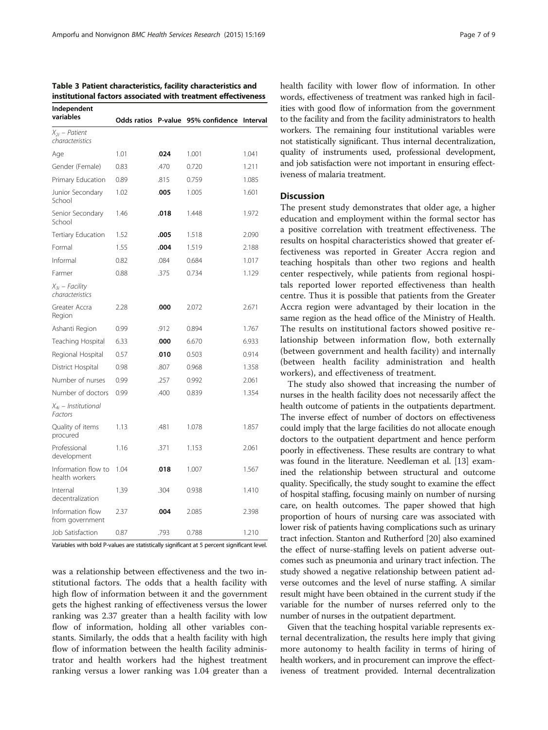| institutional factors associated with treatment effectiveness |             |         |                |          |  |
|---------------------------------------------------------------|-------------|---------|----------------|----------|--|
| Independent<br>variables                                      | Odds ratios | P-value | 95% confidence | Interval |  |
| $X_{2i}$ – Patient<br>characteristics                         |             |         |                |          |  |
| Age                                                           | 1.01        | .024    | 1.001          | 1.041    |  |
| Gender (Female)                                               | 0.83        | .470    | 0.720          | 1.211    |  |
| Primary Education                                             | 0.89        | .815    | 0.759          | 1.085    |  |
| Junior Secondary<br>School                                    | 1.02        | .005    | 1.005          | 1.601    |  |
| Senior Secondary<br>School                                    | 1.46        | .018    | 1.448          | 1.972    |  |
| Tertiary Education                                            | 1.52        | .005    | 1.518          | 2.090    |  |
| Formal                                                        | 1.55        | .004    | 1.519          | 2.188    |  |
| Informal                                                      | 0.82        | .084    | 0.684          | 1.017    |  |
| Farmer                                                        | 0.88        | .375    | 0.734          | 1.129    |  |
| $X_{3i}$ – Facility<br>characteristics                        |             |         |                |          |  |
| Greater Accra<br>Region                                       | 2.28        | .000    | 2.072          | 2.671    |  |
| Ashanti Region                                                | 0.99        | .912    | 0.894          | 1.767    |  |
| Teaching Hospital                                             | 6.33        | .000    | 6.670          | 6.933    |  |
| Regional Hospital                                             | 0.57        | .010    | 0.503          | 0.914    |  |
| District Hospital                                             | 0.98        | .807    | 0.968          | 1.358    |  |
| Number of nurses                                              | 0.99        | .257    | 0.992          | 2.061    |  |
| Number of doctors                                             | 0.99        | .400    | 0.839          | 1.354    |  |
| $X_{4i}$ – Institutional<br>Factors                           |             |         |                |          |  |
| Quality of items<br>procured                                  | 1.13        | .481    | 1.078          | 1.857    |  |
| Professional<br>development                                   | 1.16        | .371    | 1.153          | 2.061    |  |
| Information flow to<br>health workers                         | 1.04        | .018    | 1.007          | 1.567    |  |
| Internal<br>decentralization                                  | 1.39        | .304    | 0.938          | 1.410    |  |
| Information flow<br>from government                           | 2.37        | .004    | 2.085          | 2.398    |  |
| Job Satisfaction                                              | 0.87        | .793    | 0.788          | 1.210    |  |

<span id="page-6-0"></span>

| Table 3 Patient characteristics, facility characteristics and |  |
|---------------------------------------------------------------|--|
| institutional factors associated with treatment effectiveness |  |

Variables with bold P-values are statistically significant at 5 percent significant level.

was a relationship between effectiveness and the two institutional factors. The odds that a health facility with high flow of information between it and the government gets the highest ranking of effectiveness versus the lower ranking was 2.37 greater than a health facility with low flow of information, holding all other variables constants. Similarly, the odds that a health facility with high flow of information between the health facility administrator and health workers had the highest treatment ranking versus a lower ranking was 1.04 greater than a health facility with lower flow of information. In other words, effectiveness of treatment was ranked high in facilities with good flow of information from the government to the facility and from the facility administrators to health workers. The remaining four institutional variables were not statistically significant. Thus internal decentralization, quality of instruments used, professional development, and job satisfaction were not important in ensuring effectiveness of malaria treatment.

## **Discussion**

The present study demonstrates that older age, a higher education and employment within the formal sector has a positive correlation with treatment effectiveness. The results on hospital characteristics showed that greater effectiveness was reported in Greater Accra region and teaching hospitals than other two regions and health center respectively, while patients from regional hospitals reported lower reported effectiveness than health centre. Thus it is possible that patients from the Greater Accra region were advantaged by their location in the same region as the head office of the Ministry of Health. The results on institutional factors showed positive relationship between information flow, both externally (between government and health facility) and internally (between health facility administration and health workers), and effectiveness of treatment.

The study also showed that increasing the number of nurses in the health facility does not necessarily affect the health outcome of patients in the outpatients department. The inverse effect of number of doctors on effectiveness could imply that the large facilities do not allocate enough doctors to the outpatient department and hence perform poorly in effectiveness. These results are contrary to what was found in the literature. Needleman et al. [\[13\]](#page-8-0) examined the relationship between structural and outcome quality. Specifically, the study sought to examine the effect of hospital staffing, focusing mainly on number of nursing care, on health outcomes. The paper showed that high proportion of hours of nursing care was associated with lower risk of patients having complications such as urinary tract infection. Stanton and Rutherford [\[20](#page-8-0)] also examined the effect of nurse-staffing levels on patient adverse outcomes such as pneumonia and urinary tract infection. The study showed a negative relationship between patient adverse outcomes and the level of nurse staffing. A similar result might have been obtained in the current study if the variable for the number of nurses referred only to the number of nurses in the outpatient department.

Given that the teaching hospital variable represents external decentralization, the results here imply that giving more autonomy to health facility in terms of hiring of health workers, and in procurement can improve the effectiveness of treatment provided. Internal decentralization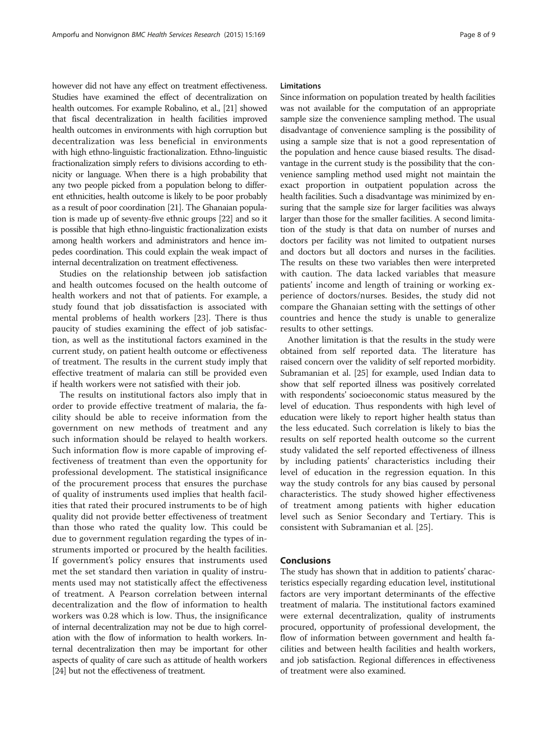however did not have any effect on treatment effectiveness. Studies have examined the effect of decentralization on health outcomes. For example Robalino, et al., [\[21\]](#page-8-0) showed that fiscal decentralization in health facilities improved health outcomes in environments with high corruption but decentralization was less beneficial in environments with high ethno-linguistic fractionalization. Ethno-linguistic fractionalization simply refers to divisions according to ethnicity or language. When there is a high probability that any two people picked from a population belong to different ethnicities, health outcome is likely to be poor probably as a result of poor coordination [\[21](#page-8-0)]. The Ghanaian population is made up of seventy-five ethnic groups [[22](#page-8-0)] and so it is possible that high ethno-linguistic fractionalization exists among health workers and administrators and hence impedes coordination. This could explain the weak impact of internal decentralization on treatment effectiveness.

Studies on the relationship between job satisfaction and health outcomes focused on the health outcome of health workers and not that of patients. For example, a study found that job dissatisfaction is associated with mental problems of health workers [[23\]](#page-8-0). There is thus paucity of studies examining the effect of job satisfaction, as well as the institutional factors examined in the current study, on patient health outcome or effectiveness of treatment. The results in the current study imply that effective treatment of malaria can still be provided even if health workers were not satisfied with their job.

The results on institutional factors also imply that in order to provide effective treatment of malaria, the facility should be able to receive information from the government on new methods of treatment and any such information should be relayed to health workers. Such information flow is more capable of improving effectiveness of treatment than even the opportunity for professional development. The statistical insignificance of the procurement process that ensures the purchase of quality of instruments used implies that health facilities that rated their procured instruments to be of high quality did not provide better effectiveness of treatment than those who rated the quality low. This could be due to government regulation regarding the types of instruments imported or procured by the health facilities. If government's policy ensures that instruments used met the set standard then variation in quality of instruments used may not statistically affect the effectiveness of treatment. A Pearson correlation between internal decentralization and the flow of information to health workers was 0.28 which is low. Thus, the insignificance of internal decentralization may not be due to high correlation with the flow of information to health workers. Internal decentralization then may be important for other aspects of quality of care such as attitude of health workers [[24](#page-8-0)] but not the effectiveness of treatment.

#### **Limitations**

Since information on population treated by health facilities was not available for the computation of an appropriate sample size the convenience sampling method. The usual disadvantage of convenience sampling is the possibility of using a sample size that is not a good representation of the population and hence cause biased results. The disadvantage in the current study is the possibility that the convenience sampling method used might not maintain the exact proportion in outpatient population across the health facilities. Such a disadvantage was minimized by ensuring that the sample size for larger facilities was always larger than those for the smaller facilities. A second limitation of the study is that data on number of nurses and doctors per facility was not limited to outpatient nurses and doctors but all doctors and nurses in the facilities. The results on these two variables then were interpreted with caution. The data lacked variables that measure patients' income and length of training or working experience of doctors/nurses. Besides, the study did not compare the Ghanaian setting with the settings of other countries and hence the study is unable to generalize results to other settings.

Another limitation is that the results in the study were obtained from self reported data. The literature has raised concern over the validity of self reported morbidity. Subramanian et al. [[25\]](#page-8-0) for example, used Indian data to show that self reported illness was positively correlated with respondents' socioeconomic status measured by the level of education. Thus respondents with high level of education were likely to report higher health status than the less educated. Such correlation is likely to bias the results on self reported health outcome so the current study validated the self reported effectiveness of illness by including patients' characteristics including their level of education in the regression equation. In this way the study controls for any bias caused by personal characteristics. The study showed higher effectiveness of treatment among patients with higher education level such as Senior Secondary and Tertiary. This is consistent with Subramanian et al. [\[25](#page-8-0)].

# Conclusions

The study has shown that in addition to patients' characteristics especially regarding education level, institutional factors are very important determinants of the effective treatment of malaria. The institutional factors examined were external decentralization, quality of instruments procured, opportunity of professional development, the flow of information between government and health facilities and between health facilities and health workers, and job satisfaction. Regional differences in effectiveness of treatment were also examined.